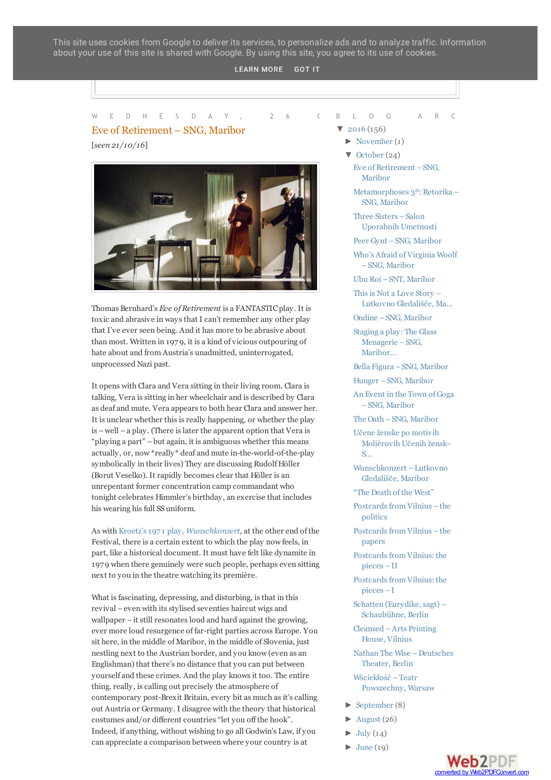This site uses cookies from Google to deliver its services, to personalize ads and to analyze traffic. Information about your use of this site is shared with Google. By using this site, you agree to its use of cookies.

#### $\mathsf{P} \subset \mathsf{P}$  . Let  $\mathsf{P} \subset \mathsf{P}$  and  $\mathsf{P} \subset \mathsf{P}$  is a set  $\mathsf{P} \subset \mathsf{P}$  . Let  $\mathsf{P} \subset \mathsf{P}$  be a set  $\mathsf{P} \subset \mathsf{P}$ [LEARN](http://postcardsgods.blogspot.si/) MORE GOT IT

# Eve of Retirement – SNG, Maribor

[*seen 21/10/16*]



Thomas Bernhard's *Eve of Retirement* is a FANTASTIC play. It is toxic and abrasive in waysthat I can't remember any other play that I've ever seen being. And it has more to be abrasive about than most. Written in 197 9, it is a kind of vicious outpouring of hate about and from Austria's unadmitted, uninterrogated, unprocessed Nazi past.

It opens with Clara and Vera sitting in their living room. Clara is talking, Vera is sitting in her wheelchair and is described by Clara as deaf and mute. Vera appears to both hear Clara and answer her. It is unclear whether this is really happening, or whether the play is –well –a play. (There islater the apparent option that Vera is "playing a part" –but again, it is ambiguous whether this means actually, or, now \*really\* deaf and mute in-the-world-of-the-play symbolically in their lives) They are discussing Rudolf Höller (Borut Veselko). It rapidly becomes clear that Höller is an unrepentant former concentration camp commandant who tonight celebrates Himmler's birthday, an exercise that includes his wearing his full SS uniform.

As with Kroetz's197 1 play, *[Wunschkonzert](http://postcardsgods.blogspot.co.uk/2016/10/wunschkonzert-lutkovno-gledalisce.html)*, at the other end of the Festival, there is a certain extent to which the play now feels, in part, like a historical document. It must have felt like dynamite in 197 9 when there genuinely were such people, perhaps even sitting next to you in the theatre watching its première.

What is fascinating, depressing, and disturbing, is that in this revival –even with itsstylised seventies haircut wigs and  $wallpaper - it still resonates loud and hard against the growing,$ ever more loud resurgence of far-right parties across Europe. You sit here, in the middle of Maribor, in the middle of Slovenia, just nestling next to the Austrian border, and you know (even as an Englishman) that there's no distance that you can put between yourself and these crimes. And the play knowsit too. The entire thing, really, is calling out precisely the atmosphere of contemporary post-Brexit Britain, every bit as much as it's calling out Austria or Germany. I disagree with the theory that historical costumes and/or different countries "let you off the hook". Indeed, if anything, without wishing to go all Godwin's Law, if you can appreciate a comparison between where your country is at

#### W E D N E S D A Y , 2 6 (B L O G A R C B L O G A R C

- $\blacktriangledown$  [2016](http://postcardsgods.blogspot.si/search?updated-min=2016-01-01T00:00:00%2B01:00&updated-max=2017-01-01T00:00:00%2B01:00&max-results=50) (156)
	- [►](javascript:void(0)) [November](http://postcardsgods.blogspot.si/2016_11_01_archive.html) (1)
	- [▼](javascript:void(0)) [October](http://postcardsgods.blogspot.si/2016_10_01_archive.html) (24) Eve of [Retirement](http://postcardsgods.blogspot.si/2016/10/eve-of-retirement-sng-maribor.html) –SNG, Maribor
		- [Metamorphoses](http://postcardsgods.blogspot.si/2016/10/metamorphoses-3-retorika-sng-maribor.html) 3º: Retorika SNG, Maribor
		- Three Sisters Salon [Uporabnih](http://postcardsgods.blogspot.si/2016/10/three-sisters-salon-uporabnih-umetnosti.html) Umetnosti
		- Peer Gynt –SNG, [Maribor](http://postcardsgods.blogspot.si/2016/10/peer-gynt-sng-maribor.html)
		- Who's Afraid of [Virginia](http://postcardsgods.blogspot.si/2016/10/whos-afraid-of-virginia-woolf-sng.html) Woolf –SNG, Maribor
		- Ubu Roi –SNT, [Maribor](http://postcardsgods.blogspot.si/2016/10/ubu-roi-snt-maribor.html)
		- This is Not a Love Story -Lutkovno [Gledališče,](http://postcardsgods.blogspot.si/2016/10/this-is-not-love-story-lutkovno.html) Ma...
		- Ondine –SNG, [Maribor](http://postcardsgods.blogspot.si/2016/10/ondine-sng-maribor.html)

Staging a play: The Glass [Menagerie](http://postcardsgods.blogspot.si/2016/10/staging-play-glass-menagerie-sng-maribor.html) –SNG, Maribor...

Bella Figura –SNG, [Maribor](http://postcardsgods.blogspot.si/2016/10/bella-figura-sng-maribor.html)

- Hunger –SNG, [Maribor](http://postcardsgods.blogspot.si/2016/10/hunger-sng-maribor.html)
- An Event in the Town of Goga –SNG, [Maribor](http://postcardsgods.blogspot.si/2016/10/an-event-in-town-of-goga-sng-maribor.html)
- The Oath –SNG, [Maribor](http://postcardsgods.blogspot.si/2016/10/the-oath-sng-maribor.html)

Učene ženske po motivih [Molièrovih](http://postcardsgods.blogspot.si/2016/10/ucene-zenske-po-motivih-molierovih.html) Učenih žensk– S...

[Wunschkonzert](http://postcardsgods.blogspot.si/2016/10/wunschkonzert-lutkovno-gledalisce.html) –Lutkovno Gledališče, Maribor

"The [Death](http://postcardsgods.blogspot.si/2016/10/the-death-of-west.html) of the West"

- Postcards from Vilnius the politics
- Postcards from Vilnius the papers

Postcards from Vilnius: the pieces –II

Postcards from Vilnius: the pieces –I

Schatten (Eurydike, sagt) – [Schaubühne,](http://postcardsgods.blogspot.si/2016/10/schatten-eurydike-sagt-schaubuhne-berlin.html) Berlin

[Cleansed](http://postcardsgods.blogspot.si/2016/10/cleansed-arts-printing-house-vilnius.html) –Arts Printing House, Vilnius

Nathan The Wise [–Deutsches](http://postcardsgods.blogspot.si/2016/10/nathan-wise-deutsches-theater-berlin.html) Theater, Berlin

Wściekłość –Teatr [Powszechny,](http://postcardsgods.blogspot.si/2016/10/wsciekosc-teatr-powszechny-warsaw.html) Warsaw

- $\blacktriangleright$  [September](http://postcardsgods.blogspot.si/2016_09_01_archive.html) (8)
- $\blacktriangleright$  [August](http://postcardsgods.blogspot.si/2016_08_01_archive.html) (26)
- $\blacktriangleright$  [July](http://postcardsgods.blogspot.si/2016_07_01_archive.html) (14)
- $\blacktriangleright$  [June](http://postcardsgods.blogspot.si/2016_06_01_archive.html) (19)

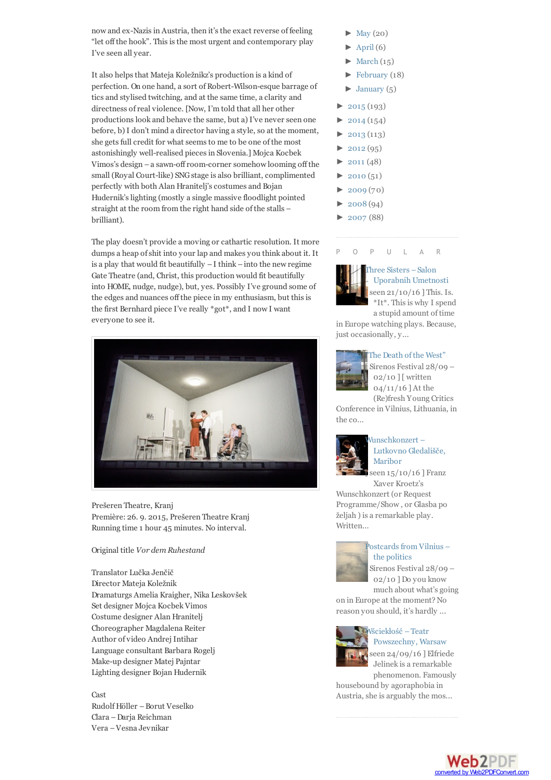now and ex-Nazis in Austria, then it's the exact reverse of feeling "let off the hook". This is the most urgent and contemporary play I've seen all year.

It also helps that Mateja Koležnikz's production is a kind of perfection. On one hand, a sort of Robert-Wilson-esque barrage of tics and stylised twitching, and at the same time, a clarity and directness ofreal violence. [Now, I'm told that all her other productionslook and behave the same, but a) I've never seen one before, b) I don't mind a director having a style, so at the moment, she gets full credit for what seems to me to be one of the most astonishingly well-realised piecesin Slovenia.] Mojca Kocbek Vimos's design –a sawn-offroom-corner somehow looming off the small (Royal Court-like) SNGstage is also brilliant, complimented perfectly with both Alan Hranitelj's costumes and Bojan Hudernik's lighting (mostly a single massive floodlight pointed straight at the room from the right hand side of the stalls – brilliant).

The play doesn't provide a moving or cathartic resolution. It more dumps a heap ofshit into your lap and makes you think about it. It is a play that would fit beautifully  $-I$  think  $-$  into the new regime Gate Theatre (and, Christ, this production would fit beautifully into HOME, nudge, nudge), but, yes. Possibly I've ground some of the edges and nuances off the piece in my enthusiasm, but this is the first Bernhard piece I've really \*got\*, and I now I want everyone to see it.



Prešeren Theatre, Kranj Première: 26. 9. 2015, Prešeren Theatre Kranj Running time 1 hour 45 minutes. No interval.

#### Original title *Vor dem Ruhestand*

Translator Lučka Jenčič Director Mateja Koležnik Dramaturgs Amelia Kraigher, Nika Leskovšek Set designer Mojca Kocbek Vimos Costume designer Alan Hranitelj Choreographer Magdalena Reiter Author of video Andrej Intihar Language consultant Barbara Rogelj Make-up designer Matej Pajntar Lighting designer Bojan Hudernik

Cast Rudolf Höller –Borut Veselko Clara –Darja Reichman Vera –Vesna Jevnikar

- [May](http://postcardsgods.blogspot.si/2016_05_01_archive.html)  $(20)$
- $\blacktriangleright$  [April](http://postcardsgods.blogspot.si/2016_04_01_archive.html) (6)
- $\blacktriangleright$  [March](http://postcardsgods.blogspot.si/2016_03_01_archive.html) (15)
- $\blacktriangleright$  [February](http://postcardsgods.blogspot.si/2016_02_01_archive.html) (18)
- $\blacktriangleright$  [January](http://postcardsgods.blogspot.si/2016_01_01_archive.html) (5)
- $2015(193)$  $2015(193)$
- $\blacktriangleright$  [2014](http://postcardsgods.blogspot.si/search?updated-min=2014-01-01T00:00:00%2B01:00&updated-max=2015-01-01T00:00:00%2B01:00&max-results=50) (154)
- $\blacktriangleright$  [2013](http://postcardsgods.blogspot.si/search?updated-min=2013-01-01T00:00:00%2B01:00&updated-max=2014-01-01T00:00:00%2B01:00&max-results=50) (113)
- $\blacktriangleright$  [2012](http://postcardsgods.blogspot.si/search?updated-min=2012-01-01T00:00:00%2B01:00&updated-max=2013-01-01T00:00:00%2B01:00&max-results=50) (95)
- $\blacktriangleright$  [2011](http://postcardsgods.blogspot.si/search?updated-min=2011-01-01T00:00:00%2B01:00&updated-max=2012-01-01T00:00:00%2B01:00&max-results=48) (48)
- $\blacktriangleright$  [2010](http://postcardsgods.blogspot.si/search?updated-min=2010-01-01T00:00:00%2B01:00&updated-max=2011-01-01T00:00:00%2B01:00&max-results=50) (51)
- $\blacktriangleright$  [2009](http://postcardsgods.blogspot.si/search?updated-min=2009-01-01T00:00:00%2B01:00&updated-max=2010-01-01T00:00:00%2B01:00&max-results=50) $(70)$
- $\blacktriangleright$  [2008](http://postcardsgods.blogspot.si/search?updated-min=2008-01-01T00:00:00%2B01:00&updated-max=2009-01-01T00:00:00%2B01:00&max-results=50) (94)
- $\blacktriangleright$  [2007](http://postcardsgods.blogspot.si/search?updated-min=2007-01-01T00:00:00%2B01:00&updated-max=2008-01-01T00:00:00%2B01:00&max-results=50) (88)

#### P O P U L A R



hree Sisters – Salon [Uporabnih](http://postcardsgods.blogspot.si/2016/10/three-sisters-salon-uporabnih-umetnosti.html) Umetnosti seen  $21/10/16$  ] This. Is. \*It\*. Thisis why I spend a stupid amount of time

in Europe watching plays. Because, just occasionally, y...

#### The [Death](http://postcardsgods.blogspot.si/2016/10/the-death-of-west.html) of the West"



Sirenos Festival  $28/09$  – 02/10 ] [ written 04/11/16 ] At the (Re)fresh Young Critics

Conference in Vilnius, Lithuania, in the co...



#### [Wunschkonzert](http://postcardsgods.blogspot.si/2016/10/wunschkonzert-lutkovno-gledalisce.html) – Lutkovno Gledališče, Maribor

 $\frac{15}{10}$  16 ] Franz Xaver Kroetz's

Wunschkonzert (or Request Programme/Show , or Glasba po željah ) is a remarkable play. Written...



## Postcards from Vilnius – the politics

Sirenos Festival  $28/09$  – 02/10 ] Do you know much about what's going

on in Europe at the moment?No reason you should, it's hardly ...



# Wściekłość –Teatr [Powszechny,](http://postcardsgods.blogspot.si/2016/10/wsciekosc-teatr-powszechny-warsaw.html) Warsaw

seen 24/09/16 ] Elfriede Jelinek is a remarkable phenomenon. Famously housebound by agoraphobia in

Austria, she is arguably the mos...